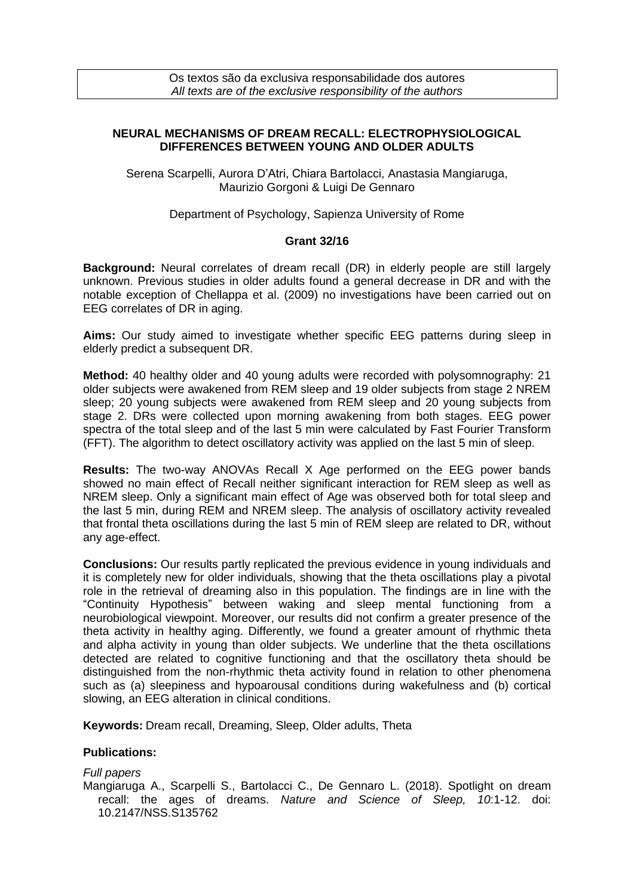## **NEURAL MECHANISMS OF DREAM RECALL: ELECTROPHYSIOLOGICAL DIFFERENCES BETWEEN YOUNG AND OLDER ADULTS**

Serena Scarpelli, Aurora D'Atri, Chiara Bartolacci, Anastasia Mangiaruga, Maurizio Gorgoni & Luigi De Gennaro

Department of Psychology, Sapienza University of Rome

## **Grant 32/16**

**Background:** Neural correlates of dream recall (DR) in elderly people are still largely unknown. Previous studies in older adults found a general decrease in DR and with the notable exception of Chellappa et al. (2009) no investigations have been carried out on EEG correlates of DR in aging.

**Aims:** Our study aimed to investigate whether specific EEG patterns during sleep in elderly predict a subsequent DR.

**Method:** 40 healthy older and 40 young adults were recorded with polysomnography: 21 older subjects were awakened from REM sleep and 19 older subjects from stage 2 NREM sleep; 20 young subjects were awakened from REM sleep and 20 young subjects from stage 2. DRs were collected upon morning awakening from both stages. EEG power spectra of the total sleep and of the last 5 min were calculated by Fast Fourier Transform (FFT). The algorithm to detect oscillatory activity was applied on the last 5 min of sleep.

**Results:** The two-way ANOVAs Recall X Age performed on the EEG power bands showed no main effect of Recall neither significant interaction for REM sleep as well as NREM sleep. Only a significant main effect of Age was observed both for total sleep and the last 5 min, during REM and NREM sleep. The analysis of oscillatory activity revealed that frontal theta oscillations during the last 5 min of REM sleep are related to DR, without any age-effect.

**Conclusions:** Our results partly replicated the previous evidence in young individuals and it is completely new for older individuals, showing that the theta oscillations play a pivotal role in the retrieval of dreaming also in this population. The findings are in line with the "Continuity Hypothesis" between waking and sleep mental functioning from a neurobiological viewpoint. Moreover, our results did not confirm a greater presence of the theta activity in healthy aging. Differently, we found a greater amount of rhythmic theta and alpha activity in young than older subjects. We underline that the theta oscillations detected are related to cognitive functioning and that the oscillatory theta should be distinguished from the non-rhythmic theta activity found in relation to other phenomena such as (a) sleepiness and hypoarousal conditions during wakefulness and (b) cortical slowing, an EEG alteration in clinical conditions.

**Keywords:** Dream recall, Dreaming, Sleep, Older adults, Theta

## **Publications:**

*Full papers* Mangiaruga A., Scarpelli S., Bartolacci C., De Gennaro L. (2018). Spotlight on dream recall: the ages of dreams. *Nature and Science of Sleep, 10*:1-12. doi: 10.2147/NSS.S135762